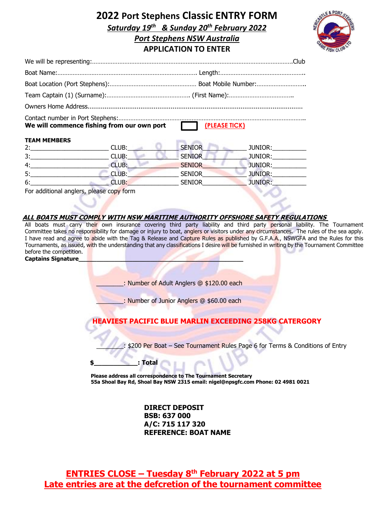## **2022 Port Stephens Classic ENTRY FORM** *Saturday 19th & Sunday 20th February 2022 Port Stephens NSW Australia* **APPLICATION TO ENTER**



| We will commence fishing from our own port $\Box$       | (PLEASE TICK)                |  |  |  |
|---------------------------------------------------------|------------------------------|--|--|--|
| <b>TEAM MEMBERS</b><br>2: CLUB: CLUB:<br>3: CLUB: CLUB: | SENIOR JUNIOR: <b>SENIOR</b> |  |  |  |
|                                                         |                              |  |  |  |

4:\_\_\_\_\_\_\_\_\_\_\_\_\_\_\_\_\_\_\_\_\_\_\_ CLUB:\_\_\_\_\_\_\_\_\_\_\_\_\_\_\_ SENIOR\_\_\_\_\_\_\_\_\_\_\_\_\_ JUNIOR:\_\_\_\_\_\_\_\_\_\_ 5:\_\_\_\_\_\_\_\_\_\_\_\_\_\_\_\_\_\_\_\_\_\_\_ CLUB:\_\_\_\_\_\_\_\_\_\_\_\_\_\_\_ SENIOR\_\_\_\_\_\_\_\_\_\_\_\_\_ JUNIOR:\_\_\_\_\_\_\_\_\_\_ 6:\_\_\_\_\_\_\_\_\_\_\_\_\_\_\_\_\_\_\_\_\_\_\_ CLUB:\_\_\_\_\_\_\_\_\_\_\_\_\_\_\_ SENIOR\_\_\_\_\_\_\_\_\_\_\_\_\_ JUNIOR:\_\_\_\_\_\_\_\_\_\_

For additional anglers, please copy form

## **ALL BOATS MUST COMPLY WITH NSW MARITIME AUTHORITY OFFSHORE SAFETY REGULATIONS**

All boats must carry their own insurance covering third party liability and third party personal liability. The Tournament Committee takes no responsibility for damage or injury to boat, anglers or visitors under any circumstances. The rules of the sea apply. I have read and agree to abide with the Tag & Release and Capture Rules as published by G.F.A.A., NSWGFA and the Rules for this Tournaments, as issued, with the understanding that any classifications I desire will be furnished in writing by the Tournament Committee before the competition.

## **Captains Signature\_\_\_\_\_\_\_\_\_\_\_\_\_\_\_\_\_\_\_\_\_\_\_\_\_\_\_\_\_\_\_\_\_\_\_\_\_\_\_\_\_\_\_\_\_\_**

**ENTRIES CLOSE – Tuesday 8 th February 2022 at 5 pm Late entries are at the defcretion of the tournament committee**